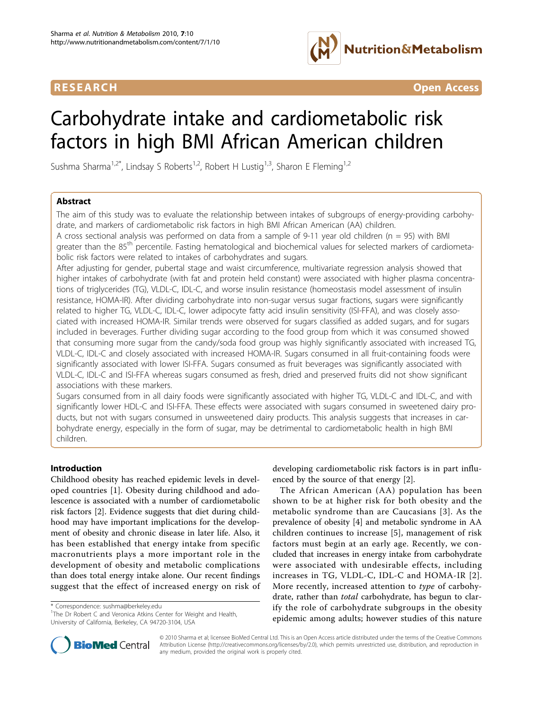

**RESEARCH CONTROL** CONTROL CONTROL CONTROL CONTROL CONTROL CONTROL CONTROL CONTROL CONTROL CONTROL CONTROL CONTROL CONTROL CONTROL CONTROL CONTROL CONTROL CONTROL CONTROL CONTROL CONTROL CONTROL CONTROL CONTROL CONTROL CON

# Carbohydrate intake and cardiometabolic risk factors in high BMI African American children

Sushma Sharma<sup>1,2\*</sup>, Lindsay S Roberts<sup>1,2</sup>, Robert H Lustig<sup>1,3</sup>, Sharon E Fleming<sup>1,2</sup>

# Abstract

The aim of this study was to evaluate the relationship between intakes of subgroups of energy-providing carbohydrate, and markers of cardiometabolic risk factors in high BMI African American (AA) children.

A cross sectional analysis was performed on data from a sample of 9-11 year old children ( $n = 95$ ) with BMI greater than the 85<sup>th</sup> percentile. Fasting hematological and biochemical values for selected markers of cardiometabolic risk factors were related to intakes of carbohydrates and sugars.

After adjusting for gender, pubertal stage and waist circumference, multivariate regression analysis showed that higher intakes of carbohydrate (with fat and protein held constant) were associated with higher plasma concentrations of triglycerides (TG), VLDL-C, IDL-C, and worse insulin resistance (homeostasis model assessment of insulin resistance, HOMA-IR). After dividing carbohydrate into non-sugar versus sugar fractions, sugars were significantly related to higher TG, VLDL-C, IDL-C, lower adipocyte fatty acid insulin sensitivity (ISI-FFA), and was closely associated with increased HOMA-IR. Similar trends were observed for sugars classified as added sugars, and for sugars included in beverages. Further dividing sugar according to the food group from which it was consumed showed that consuming more sugar from the candy/soda food group was highly significantly associated with increased TG, VLDL-C, IDL-C and closely associated with increased HOMA-IR. Sugars consumed in all fruit-containing foods were significantly associated with lower ISI-FFA. Sugars consumed as fruit beverages was significantly associated with VLDL-C, IDL-C and ISI-FFA whereas sugars consumed as fresh, dried and preserved fruits did not show significant associations with these markers.

Sugars consumed from in all dairy foods were significantly associated with higher TG, VLDL-C and IDL-C, and with significantly lower HDL-C and ISI-FFA. These effects were associated with sugars consumed in sweetened dairy products, but not with sugars consumed in unsweetened dairy products. This analysis suggests that increases in carbohydrate energy, especially in the form of sugar, may be detrimental to cardiometabolic health in high BMI children.

# Introduction

Childhood obesity has reached epidemic levels in developed countries [[1\]](#page-5-0). Obesity during childhood and adolescence is associated with a number of cardiometabolic risk factors [[2\]](#page-5-0). Evidence suggests that diet during childhood may have important implications for the development of obesity and chronic disease in later life. Also, it has been established that energy intake from specific macronutrients plays a more important role in the development of obesity and metabolic complications than does total energy intake alone. Our recent findings suggest that the effect of increased energy on risk of

\* Correspondence: [sushma@berkeley.edu](mailto:sushma@berkeley.edu)

<sup>1</sup>The Dr Robert C and Veronica Atkins Center for Weight and Health, University of California, Berkeley, CA 94720-3104, USA



The African American (AA) population has been shown to be at higher risk for both obesity and the metabolic syndrome than are Caucasians [[3](#page-5-0)]. As the prevalence of obesity [\[4](#page-5-0)] and metabolic syndrome in AA children continues to increase [[5](#page-5-0)], management of risk factors must begin at an early age. Recently, we concluded that increases in energy intake from carbohydrate were associated with undesirable effects, including increases in TG, VLDL-C, IDL-C and HOMA-IR [[2](#page-5-0)]. More recently, increased attention to type of carbohydrate, rather than *total* carbohydrate, has begun to clarify the role of carbohydrate subgroups in the obesity epidemic among adults; however studies of this nature



© 2010 Sharma et al; licensee BioMed Central Ltd. This is an Open Access article distributed under the terms of the Creative Commons Attribution License [\(http://creativecommons.org/licenses/by/2.0](http://creativecommons.org/licenses/by/2.0)), which permits unrestricted use, distribution, and reproduction in any medium, provided the original work is properly cited.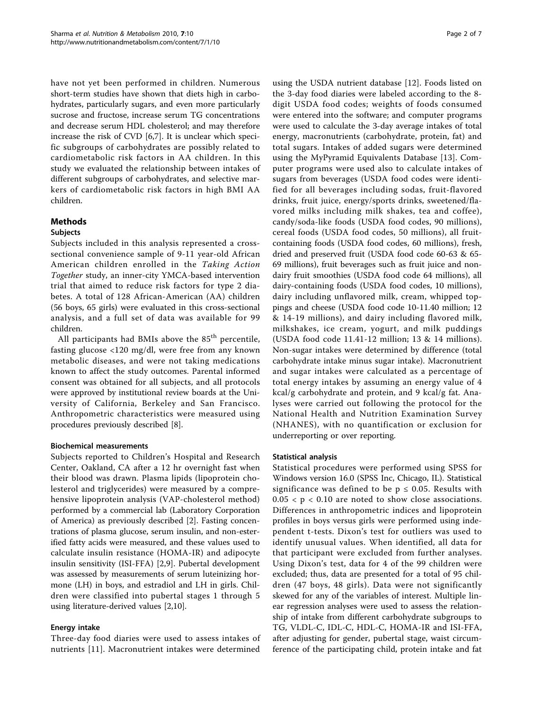have not yet been performed in children. Numerous short-term studies have shown that diets high in carbohydrates, particularly sugars, and even more particularly sucrose and fructose, increase serum TG concentrations and decrease serum HDL cholesterol; and may therefore increase the risk of CVD [[6](#page-5-0),[7\]](#page-5-0). It is unclear which specific subgroups of carbohydrates are possibly related to cardiometabolic risk factors in AA children. In this study we evaluated the relationship between intakes of different subgroups of carbohydrates, and selective markers of cardiometabolic risk factors in high BMI AA children.

# Methods

# Subjects

Subjects included in this analysis represented a crosssectional convenience sample of 9-11 year-old African American children enrolled in the Taking Action Together study, an inner-city YMCA-based intervention trial that aimed to reduce risk factors for type 2 diabetes. A total of 128 African-American (AA) children (56 boys, 65 girls) were evaluated in this cross-sectional analysis, and a full set of data was available for 99 children.

All participants had BMIs above the  $85<sup>th</sup>$  percentile, fasting glucose <120 mg/dl, were free from any known metabolic diseases, and were not taking medications known to affect the study outcomes. Parental informed consent was obtained for all subjects, and all protocols were approved by institutional review boards at the University of California, Berkeley and San Francisco. Anthropometric characteristics were measured using procedures previously described [\[8](#page-5-0)].

#### Biochemical measurements

Subjects reported to Children's Hospital and Research Center, Oakland, CA after a 12 hr overnight fast when their blood was drawn. Plasma lipids (lipoprotein cholesterol and triglycerides) were measured by a comprehensive lipoprotein analysis (VAP-cholesterol method) performed by a commercial lab (Laboratory Corporation of America) as previously described [\[2](#page-5-0)]. Fasting concentrations of plasma glucose, serum insulin, and non-esterified fatty acids were measured, and these values used to calculate insulin resistance (HOMA-IR) and adipocyte insulin sensitivity (ISI-FFA) [\[2](#page-5-0),[9\]](#page-5-0). Pubertal development was assessed by measurements of serum luteinizing hormone (LH) in boys, and estradiol and LH in girls. Children were classified into pubertal stages 1 through 5 using literature-derived values [[2](#page-5-0),[10](#page-5-0)].

# Energy intake

Three-day food diaries were used to assess intakes of nutrients [[11\]](#page-5-0). Macronutrient intakes were determined using the USDA nutrient database [[12\]](#page-5-0). Foods listed on the 3-day food diaries were labeled according to the 8 digit USDA food codes; weights of foods consumed were entered into the software; and computer programs were used to calculate the 3-day average intakes of total energy, macronutrients (carbohydrate, protein, fat) and total sugars. Intakes of added sugars were determined using the MyPyramid Equivalents Database [[13\]](#page-6-0). Computer programs were used also to calculate intakes of sugars from beverages (USDA food codes were identified for all beverages including sodas, fruit-flavored drinks, fruit juice, energy/sports drinks, sweetened/flavored milks including milk shakes, tea and coffee), candy/soda-like foods (USDA food codes, 90 millions), cereal foods (USDA food codes, 50 millions), all fruitcontaining foods (USDA food codes, 60 millions), fresh, dried and preserved fruit (USDA food code 60-63 & 65- 69 millions), fruit beverages such as fruit juice and nondairy fruit smoothies (USDA food code 64 millions), all dairy-containing foods (USDA food codes, 10 millions), dairy including unflavored milk, cream, whipped toppings and cheese (USDA food code 10-11.40 million; 12 & 14-19 millions), and dairy including flavored milk, milkshakes, ice cream, yogurt, and milk puddings (USDA food code 11.41-12 million; 13 & 14 millions). Non-sugar intakes were determined by difference (total carbohydrate intake minus sugar intake). Macronutrient and sugar intakes were calculated as a percentage of total energy intakes by assuming an energy value of 4 kcal/g carbohydrate and protein, and 9 kcal/g fat. Analyses were carried out following the protocol for the National Health and Nutrition Examination Survey (NHANES), with no quantification or exclusion for underreporting or over reporting.

#### Statistical analysis

Statistical procedures were performed using SPSS for Windows version 16.0 (SPSS Inc, Chicago, IL). Statistical significance was defined to be  $p \le 0.05$ . Results with  $0.05 < p < 0.10$  are noted to show close associations. Differences in anthropometric indices and lipoprotein profiles in boys versus girls were performed using independent t-tests. Dixon's test for outliers was used to identify unusual values. When identified, all data for that participant were excluded from further analyses. Using Dixon's test, data for 4 of the 99 children were excluded; thus, data are presented for a total of 95 children (47 boys, 48 girls). Data were not significantly skewed for any of the variables of interest. Multiple linear regression analyses were used to assess the relationship of intake from different carbohydrate subgroups to TG, VLDL-C, IDL-C, HDL-C, HOMA-IR and ISI-FFA, after adjusting for gender, pubertal stage, waist circumference of the participating child, protein intake and fat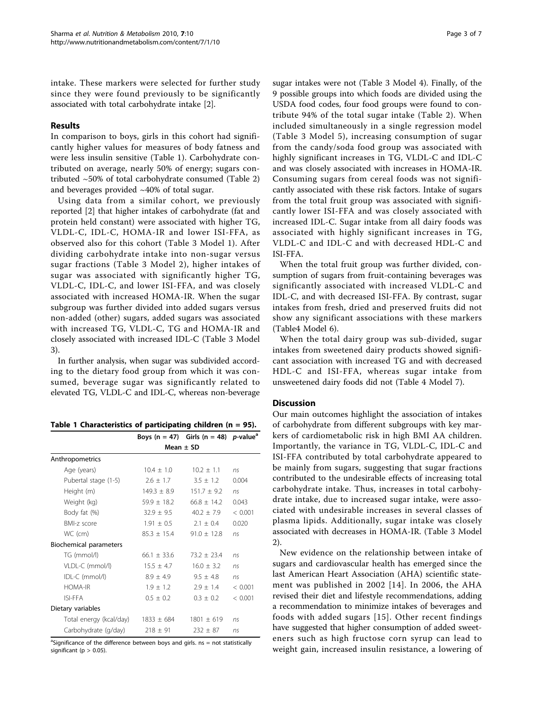intake. These markers were selected for further study since they were found previously to be significantly associated with total carbohydrate intake [[2\]](#page-5-0).

# Results

In comparison to boys, girls in this cohort had significantly higher values for measures of body fatness and were less insulin sensitive (Table 1). Carbohydrate contributed on average, nearly 50% of energy; sugars contributed ~50% of total carbohydrate consumed (Table [2](#page-3-0)) and beverages provided ~40% of total sugar.

Using data from a similar cohort, we previously reported [\[2](#page-5-0)] that higher intakes of carbohydrate (fat and protein held constant) were associated with higher TG, VLDL-C, IDL-C, HOMA-IR and lower ISI-FFA, as observed also for this cohort (Table [3](#page-4-0) Model 1). After dividing carbohydrate intake into non-sugar versus sugar fractions (Table [3](#page-4-0) Model 2), higher intakes of sugar was associated with significantly higher TG, VLDL-C, IDL-C, and lower ISI-FFA, and was closely associated with increased HOMA-IR. When the sugar subgroup was further divided into added sugars versus non-added (other) sugars, added sugars was associated with increased TG, VLDL-C, TG and HOMA-IR and closely associated with increased IDL-C (Table [3](#page-4-0) Model 3).

In further analysis, when sugar was subdivided according to the dietary food group from which it was consumed, beverage sugar was significantly related to elevated TG, VLDL-C and IDL-C, whereas non-beverage

Table 1 Characteristics of participating children ( $n = 95$ ).

|                               |                | Boys (n = 47) Girls (n = 48) p-value <sup>a</sup> |                |  |  |
|-------------------------------|----------------|---------------------------------------------------|----------------|--|--|
|                               | $Mean + SD$    |                                                   |                |  |  |
| Anthropometrics               |                |                                                   |                |  |  |
| Age (years)                   | $10.4 + 1.0$   | $10.2 + 1.1$                                      | ns             |  |  |
| Pubertal stage (1-5)          | $2.6 + 1.7$    | $3.5 + 1.2$                                       | 0.004          |  |  |
| Height (m)                    | $149.3 + 8.9$  | $151.7 \pm 9.2$                                   | ns             |  |  |
| Weight (kg)                   | $59.9 + 18.2$  | $66.8 + 14.2$                                     | 0.043          |  |  |
| Body fat (%)                  | $32.9 + 9.5$   | $40.2 \pm 7.9$                                    | < 0.001        |  |  |
| BMI-z score                   | $1.91 + 0.5$   | $2.1 + 0.4$                                       | 0.020          |  |  |
| WC (cm)                       | $85.3 + 15.4$  | $91.0 + 12.8$                                     | ns             |  |  |
| <b>Biochemical parameters</b> |                |                                                   |                |  |  |
| TG (mmol/l)                   | $66.1 + 33.6$  | $73.2 + 23.4$                                     | ns             |  |  |
| VLDL-C (mmol/l)               | $15.5 + 4.7$   | $16.0 \pm 3.2$                                    | ns             |  |  |
| IDL-C (mmol/l)                | $8.9 \pm 4.9$  | $9.5 + 4.8$                                       | ns             |  |  |
| <b>HOMA-IR</b>                | $1.9 + 1.2$    | $2.9 + 1.4$                                       | < 0.001        |  |  |
| ISI-FFA                       | $0.5 + 0.2$    | $0.3 + 0.2$                                       | < 0.001        |  |  |
| Dietary variables             |                |                                                   |                |  |  |
| Total energy (kcal/day)       | $1833 \pm 684$ | $1801 + 619$                                      | n <sub>s</sub> |  |  |
| Carbohydrate (g/day)          | $218 \pm 91$   | $232 + 87$                                        | n <sub>s</sub> |  |  |

<sup>a</sup>Significance of the difference between boys and girls. ns = not statistically significant ( $p > 0.05$ ).

sugar intakes were not (Table [3](#page-4-0) Model 4). Finally, of the 9 possible groups into which foods are divided using the USDA food codes, four food groups were found to contribute 94% of the total sugar intake (Table [2](#page-3-0)). When included simultaneously in a single regression model (Table [3](#page-4-0) Model 5), increasing consumption of sugar from the candy/soda food group was associated with highly significant increases in TG, VLDL-C and IDL-C and was closely associated with increases in HOMA-IR. Consuming sugars from cereal foods was not significantly associated with these risk factors. Intake of sugars from the total fruit group was associated with significantly lower ISI-FFA and was closely associated with increased IDL-C. Sugar intake from all dairy foods was associated with highly significant increases in TG, VLDL-C and IDL-C and with decreased HDL-C and ISI-FFA.

When the total fruit group was further divided, consumption of sugars from fruit-containing beverages was significantly associated with increased VLDL-C and IDL-C, and with decreased ISI-FFA. By contrast, sugar intakes from fresh, dried and preserved fruits did not show any significant associations with these markers (Table[4](#page-4-0) Model 6).

When the total dairy group was sub-divided, sugar intakes from sweetened dairy products showed significant association with increased TG and with decreased HDL-C and ISI-FFA, whereas sugar intake from unsweetened dairy foods did not (Table [4](#page-4-0) Model 7).

# **Discussion**

Our main outcomes highlight the association of intakes of carbohydrate from different subgroups with key markers of cardiometabolic risk in high BMI AA children. Importantly, the variance in TG, VLDL-C, IDL-C and ISI-FFA contributed by total carbohydrate appeared to be mainly from sugars, suggesting that sugar fractions contributed to the undesirable effects of increasing total carbohydrate intake. Thus, increases in total carbohydrate intake, due to increased sugar intake, were associated with undesirable increases in several classes of plasma lipids. Additionally, sugar intake was closely associated with decreases in HOMA-IR. (Table [3](#page-4-0) Model 2).

New evidence on the relationship between intake of sugars and cardiovascular health has emerged since the last American Heart Association (AHA) scientific statement was published in 2002 [[14\]](#page-6-0). In 2006, the AHA revised their diet and lifestyle recommendations, adding a recommendation to minimize intakes of beverages and foods with added sugars [[15\]](#page-6-0). Other recent findings have suggested that higher consumption of added sweeteners such as high fructose corn syrup can lead to weight gain, increased insulin resistance, a lowering of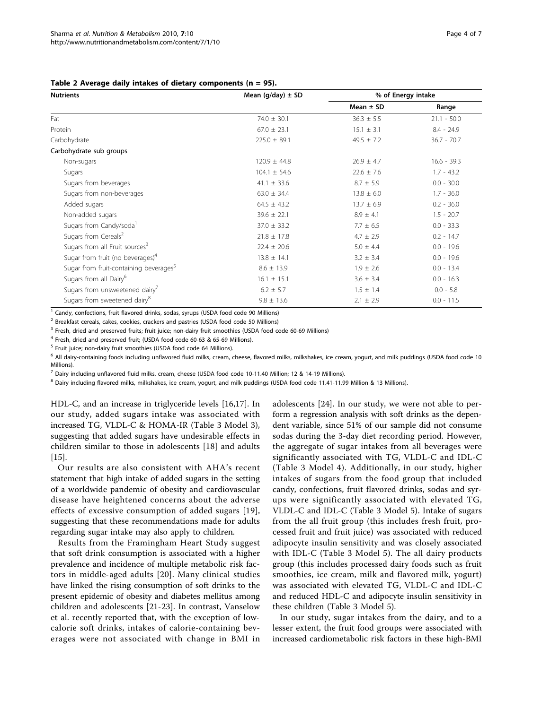#### <span id="page-3-0"></span>Table 2 Average daily intakes of dietary components ( $n = 95$ ).

| <b>Nutrients</b>                                   | Mean $(q/day) \pm SD$ | % of Energy intake |               |  |
|----------------------------------------------------|-----------------------|--------------------|---------------|--|
|                                                    |                       | Mean $\pm$ SD      | Range         |  |
| Fat                                                | $74.0 \pm 30.1$       | $36.3 \pm 5.5$     | $21.1 - 50.0$ |  |
| Protein                                            | $67.0 \pm 23.1$       | $15.1 \pm 3.1$     | $8.4 - 24.9$  |  |
| Carbohydrate                                       | $225.0 \pm 89.1$      | $49.5 \pm 7.2$     | $36.7 - 70.7$ |  |
| Carbohydrate sub groups                            |                       |                    |               |  |
| Non-sugars                                         | $120.9 \pm 44.8$      | $76.9 + 4.7$       | $16.6 - 39.3$ |  |
| Sugars                                             | $104.1 \pm 54.6$      | $22.6 \pm 7.6$     | $1.7 - 43.2$  |  |
| Sugars from beverages                              | $41.1 \pm 33.6$       | $8.7 \pm 5.9$      | $0.0 - 30.0$  |  |
| Sugars from non-beverages                          | $63.0 \pm 34.4$       | $13.8 \pm 6.0$     | $1.7 - 36.0$  |  |
| Added sugars                                       | $64.5 \pm 43.2$       | $13.7 \pm 6.9$     | $0.2 - 36.0$  |  |
| Non-added sugars                                   | $39.6 \pm 22.1$       | $8.9 \pm 4.1$      | $1.5 - 20.7$  |  |
| Sugars from Candy/soda <sup>1</sup>                | $37.0 \pm 33.2$       | $7.7 \pm 6.5$      | $0.0 - 33.3$  |  |
| Sugars from Cereals <sup>2</sup>                   | $21.8 \pm 17.8$       | $4.7 \pm 2.9$      | $0.2 - 14.7$  |  |
| Sugars from all Fruit sources <sup>3</sup>         | $22.4 \pm 20.6$       | $5.0 \pm 4.4$      | $0.0 - 19.6$  |  |
| Sugar from fruit (no beverages) <sup>4</sup>       | $13.8 \pm 14.1$       | $3.2 \pm 3.4$      | $0.0 - 19.6$  |  |
| Sugar from fruit-containing beverages <sup>5</sup> | $8.6 \pm 13.9$        | $1.9 \pm 2.6$      | $0.0 - 13.4$  |  |
| Sugars from all Dairy <sup>6</sup>                 | $16.1 \pm 15.1$       | $3.6 \pm 3.4$      | $0.0 - 16.3$  |  |
| Sugars from unsweetened dairy <sup>7</sup>         | $6.2 \pm 5.7$         | $1.5 \pm 1.4$      | $0.0 - 5.8$   |  |
| Sugars from sweetened dairy <sup>8</sup>           | $9.8 \pm 13.6$        | $2.1 \pm 2.9$      | $0.0 - 11.5$  |  |

<sup>1</sup> Candy, confections, fruit flavored drinks, sodas, syrups (USDA food code 90 Millions)

<sup>2</sup> Breakfast cereals, cakes, cookies, crackers and pastries (USDA food code 50 Millions)

<sup>3</sup> Fresh, dried and preserved fruits; fruit juice; non-dairy fruit smoothies (USDA food code 60-69 Millions)

<sup>4</sup> Fresh, dried and preserved fruit; (USDA food code 60-63 & 65-69 Millions).

<sup>5</sup> Fruit juice; non-dairy fruit smoothies (USDA food code 64 Millions).

<sup>6</sup> All dairy-containing foods including unflavored fluid milks, cream, cheese, flavored milks, milkshakes, ice cream, yogurt, and milk puddings (USDA food code 10 Millions).

 $^7$  Dairy including unflavored fluid milks, cream, cheese (USDA food code 10-11.40 Million; 12 & 14-19 Millions).

8 Dairy including flavored milks, milkshakes, ice cream, yogurt, and milk puddings (USDA food code 11.41-11.99 Million & 13 Millions).

HDL-C, and an increase in triglyceride levels [\[16,17](#page-6-0)]. In our study, added sugars intake was associated with increased TG, VLDL-C & HOMA-IR (Table [3](#page-4-0) Model 3), suggesting that added sugars have undesirable effects in children similar to those in adolescents [[18](#page-6-0)] and adults [[15\]](#page-6-0).

Our results are also consistent with AHA's recent statement that high intake of added sugars in the setting of a worldwide pandemic of obesity and cardiovascular disease have heightened concerns about the adverse effects of excessive consumption of added sugars [[19](#page-6-0)], suggesting that these recommendations made for adults regarding sugar intake may also apply to children.

Results from the Framingham Heart Study suggest that soft drink consumption is associated with a higher prevalence and incidence of multiple metabolic risk factors in middle-aged adults [[20](#page-6-0)]. Many clinical studies have linked the rising consumption of soft drinks to the present epidemic of obesity and diabetes mellitus among children and adolescents [[21-23](#page-6-0)]. In contrast, Vanselow et al. recently reported that, with the exception of lowcalorie soft drinks, intakes of calorie-containing beverages were not associated with change in BMI in

adolescents [[24\]](#page-6-0). In our study, we were not able to perform a regression analysis with soft drinks as the dependent variable, since 51% of our sample did not consume sodas during the 3-day diet recording period. However, the aggregate of sugar intakes from all beverages were significantly associated with TG, VLDL-C and IDL-C (Table [3](#page-4-0) Model 4). Additionally, in our study, higher intakes of sugars from the food group that included candy, confections, fruit flavored drinks, sodas and syrups were significantly associated with elevated TG, VLDL-C and IDL-C (Table [3](#page-4-0) Model 5). Intake of sugars from the all fruit group (this includes fresh fruit, processed fruit and fruit juice) was associated with reduced adipocyte insulin sensitivity and was closely associated with IDL-C (Table [3](#page-4-0) Model 5). The all dairy products group (this includes processed dairy foods such as fruit smoothies, ice cream, milk and flavored milk, yogurt) was associated with elevated TG, VLDL-C and IDL-C and reduced HDL-C and adipocyte insulin sensitivity in these children (Table [3](#page-4-0) Model 5).

In our study, sugar intakes from the dairy, and to a lesser extent, the fruit food groups were associated with increased cardiometabolic risk factors in these high-BMI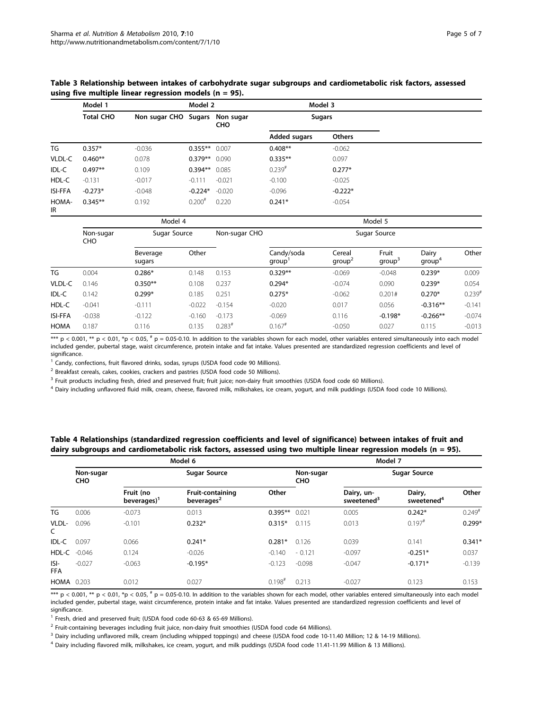#### <span id="page-4-0"></span>Table 3 Relationship between intakes of carbohydrate sugar subgroups and cardiometabolic risk factors, assessed using five multiple linear regression models ( $n = 95$ ).

|             | Model 1                                  |          | Model 2              |                         | Model 3              |               |  |
|-------------|------------------------------------------|----------|----------------------|-------------------------|----------------------|---------------|--|
|             | <b>Total CHO</b><br>Non sugar CHO Sugars |          |                      | Non sugar<br><b>CHO</b> | <b>Sugars</b>        |               |  |
|             |                                          |          |                      |                         | <b>Added sugars</b>  | <b>Others</b> |  |
| TG          | $0.357*$                                 | $-0.036$ | $0.355***$           | 0.007                   | $0.408**$            | $-0.062$      |  |
| VLDL-C      | $0.460**$                                | 0.078    | $0.379**$            | 0.090                   | $0.335**$            | 0.097         |  |
| IDL-C       | $0.497**$                                | 0.109    | $0.394**$            | 0.085                   | $0.239$ <sup>#</sup> | $0.277*$      |  |
| HDL-C       | $-0.131$                                 | $-0.017$ | $-0.111$             | $-0.021$                | $-0.100$             | $-0.025$      |  |
| ISI-FFA     | $-0.273*$                                | $-0.048$ | $-0.224*$            | $-0.020$                | $-0.096$             | $-0.222*$     |  |
| HOMA-<br>IR | $0.345**$                                | 0.192    | $0.200$ <sup>#</sup> | 0.220                   | $0.241*$             | $-0.054$      |  |

|                | Model 4                 |                    |          |                      | Model 5              |                              |                             |                             |                      |
|----------------|-------------------------|--------------------|----------|----------------------|----------------------|------------------------------|-----------------------------|-----------------------------|----------------------|
|                | Non-sugar<br><b>CHO</b> | Sugar Source       |          | Non-sugar CHO        |                      | Sugar Source                 |                             |                             |                      |
|                |                         | Beverage<br>sugars | Other    |                      | Candy/soda<br>group  | Cereal<br>group <sup>2</sup> | Fruit<br>group <sup>3</sup> | Dairy<br>group <sup>4</sup> | Other                |
| TG             | 0.004                   | $0.286*$           | 0.148    | 0.153                | $0.329**$            | $-0.069$                     | $-0.048$                    | $0.239*$                    | 0.009                |
| VLDL-C         | 0.146                   | $0.350**$          | 0.108    | 0.237                | $0.294*$             | $-0.074$                     | 0.090                       | $0.239*$                    | 0.054                |
| IDL-C          | 0.142                   | $0.299*$           | 0.185    | 0.251                | $0.275*$             | $-0.062$                     | 0.201#                      | $0.270*$                    | $0.239$ <sup>#</sup> |
| HDL-C          | $-0.041$                | $-0.111$           | $-0.022$ | $-0.154$             | $-0.020$             | 0.017                        | 0.056                       | $-0.316**$                  | $-0.141$             |
| <b>ISI-FFA</b> | $-0.038$                | $-0.122$           | $-0.160$ | $-0.173$             | $-0.069$             | 0.116                        | $-0.198*$                   | $-0.266**$                  | $-0.074$             |
| <b>HOMA</b>    | 0.187                   | 0.116              | 0.135    | $0.283$ <sup>#</sup> | $0.167$ <sup>#</sup> | $-0.050$                     | 0.027                       | 0.115                       | $-0.013$             |

\*\*\* p < 0.001, \*\* p < 0.01, \*p < 0.05, \* p = 0.05-0.10. In addition to the variables shown for each model, other variables entered simultaneously into each model included gender, pubertal stage, waist circumference, protein intake and fat intake. Values presented are standardized regression coefficients and level of significance.

<sup>1</sup> Candy, confections, fruit flavored drinks, sodas, syrups (USDA food code 90 Millions).

<sup>2</sup> Breakfast cereals, cakes, cookies, crackers and pastries (USDA food code 50 Millions).

<sup>3</sup> Fruit products including fresh, dried and preserved fruit; fruit juice; non-dairy fruit smoothies (USDA food code 60 Millions).

<sup>4</sup> Dairy including unflavored fluid milk, cream, cheese, flavored milk, milkshakes, ice cream, yogurt, and milk puddings (USDA food code 10 Millions).

| Table 4 Relationships (standardized regression coefficients and level of significance) between intakes of fruit and  |  |
|----------------------------------------------------------------------------------------------------------------------|--|
| dairy subgroups and cardiometabolic risk factors, assessed using two multiple linear regression models ( $n = 95$ ). |  |

|                    | Model 6                 |                          |                                                   |                         |                     | Model 7                              |                                  |                      |  |
|--------------------|-------------------------|--------------------------|---------------------------------------------------|-------------------------|---------------------|--------------------------------------|----------------------------------|----------------------|--|
|                    | Non-sugar<br><b>CHO</b> |                          |                                                   | Non-sugar<br><b>CHO</b> | <b>Sugar Source</b> |                                      |                                  |                      |  |
|                    |                         | Fruit (no<br>beverages)' | <b>Fruit-containing</b><br>beverages <sup>2</sup> | Other                   |                     | Dairy, un-<br>sweetened <sup>3</sup> | Dairy,<br>sweetened <sup>4</sup> | Other                |  |
| TG                 | 0.006                   | $-0.073$                 | 0.013                                             | $0.395**$               | 0.021               | 0.005                                | $0.242*$                         | $0.249$ <sup>#</sup> |  |
| VLDL-<br>C         | 0.096                   | $-0.101$                 | $0.232*$                                          | $0.315*$                | 0.115               | 0.013                                | $0.197$ <sup>#</sup>             | $0.299*$             |  |
| IDL-C              | 0.097                   | 0.066                    | $0.241*$                                          | $0.281*$                | 0.126               | 0.039                                | 0.141                            | $0.341*$             |  |
| HDL-C              | $-0.046$                | 0.124                    | $-0.026$                                          | $-0.140$                | $-0.121$            | $-0.097$                             | $-0.251*$                        | 0.037                |  |
| ISI-<br><b>FFA</b> | $-0.027$                | $-0.063$                 | $-0.195*$                                         | $-0.123$                | $-0.098$            | $-0.047$                             | $-0.171*$                        | $-0.139$             |  |
| <b>HOMA 0.203</b>  |                         | 0.012                    | 0.027                                             | $0.198$ <sup>#</sup>    | 0.213               | $-0.027$                             | 0.123                            | 0.153                |  |

\*\*\*  $p < 0.001$ , \*\*  $p < 0.01$ , \* $p < 0.05$ ,  $p = 0.05$ -0.10. In addition to the variables shown for each model, other variables entered simultaneously into each model included gender, pubertal stage, waist circumference, protein intake and fat intake. Values presented are standardized regression coefficients and level of significance.

<sup>1</sup> Fresh, dried and preserved fruit; (USDA food code 60-63 & 65-69 Millions).

<sup>2</sup> Fruit-containing beverages including fruit juice, non-dairy fruit smoothies (USDA food code 64 Millions).

<sup>3</sup> Dairy including unflavored milk, cream (including whipped toppings) and cheese (USDA food code 10-11.40 Million; 12 & 14-19 Millions).

<sup>4</sup> Dairy including flavored milk, milkshakes, ice cream, yogurt, and milk puddings (USDA food code 11.41-11.99 Million & 13 Millions).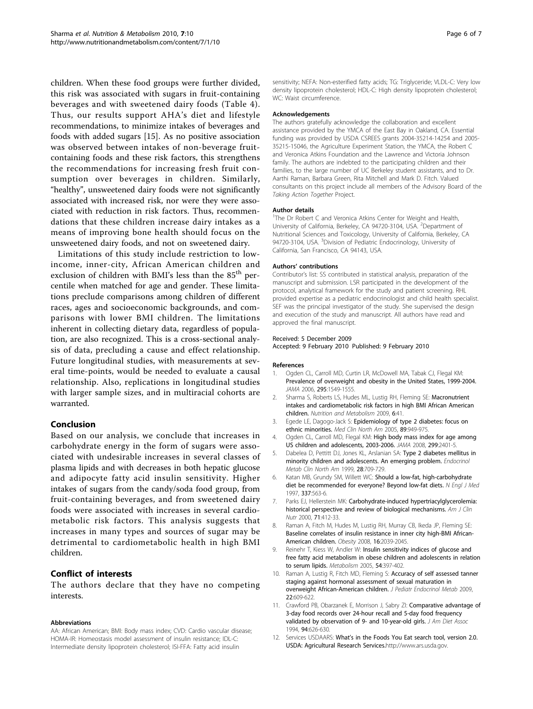<span id="page-5-0"></span>children. When these food groups were further divided, this risk was associated with sugars in fruit-containing beverages and with sweetened dairy foods (Table [4\)](#page-4-0). Thus, our results support AHA's diet and lifestyle recommendations, to minimize intakes of beverages and foods with added sugars [[15\]](#page-6-0). As no positive association was observed between intakes of non-beverage fruitcontaining foods and these risk factors, this strengthens the recommendations for increasing fresh fruit consumption over beverages in children. Similarly, "healthy", unsweetened dairy foods were not significantly associated with increased risk, nor were they were associated with reduction in risk factors. Thus, recommendations that these children increase dairy intakes as a means of improving bone health should focus on the unsweetened dairy foods, and not on sweetened dairy.

Limitations of this study include restriction to lowincome, inner-city, African American children and exclusion of children with BMI's less than the 85<sup>th</sup> percentile when matched for age and gender. These limitations preclude comparisons among children of different races, ages and socioeconomic backgrounds, and comparisons with lower BMI children. The limitations inherent in collecting dietary data, regardless of population, are also recognized. This is a cross-sectional analysis of data, precluding a cause and effect relationship. Future longitudinal studies, with measurements at several time-points, would be needed to evaluate a causal relationship. Also, replications in longitudinal studies with larger sample sizes, and in multiracial cohorts are warranted.

#### Conclusion

Based on our analysis, we conclude that increases in carbohydrate energy in the form of sugars were associated with undesirable increases in several classes of plasma lipids and with decreases in both hepatic glucose and adipocyte fatty acid insulin sensitivity. Higher intakes of sugars from the candy/soda food group, from fruit-containing beverages, and from sweetened dairy foods were associated with increases in several cardiometabolic risk factors. This analysis suggests that increases in many types and sources of sugar may be detrimental to cardiometabolic health in high BMI children.

# Conflict of interests

The authors declare that they have no competing interests.

#### Abbreviations

AA: African American; BMI: Body mass index; CVD: Cardio vascular disease; HOMA-IR: Homeostasis model assessment of insulin resistance; IDL-C: Intermediate density lipoprotein cholesterol; ISI-FFA: Fatty acid insulin

sensitivity; NEFA: Non-esterified fatty acids; TG: Triglyceride; VLDL-C: Very low density lipoprotein cholesterol; HDL-C: High density lipoprotein cholesterol; WC: Waist circumference.

#### Acknowledgements

The authors gratefully acknowledge the collaboration and excellent assistance provided by the YMCA of the East Bay in Oakland, CA. Essential funding was provided by USDA CSREES grants 2004-35214-14254 and 2005- 35215-15046, the Agriculture Experiment Station, the YMCA, the Robert C and Veronica Atkins Foundation and the Lawrence and Victoria Johnson family. The authors are indebted to the participating children and their families, to the large number of UC Berkeley student assistants, and to Dr. Aarthi Raman, Barbara Green, Rita Mitchell and Mark D. Fitch. Valued consultants on this project include all members of the Advisory Board of the Taking Action Together Project.

#### Author details

<sup>1</sup>The Dr Robert C and Veronica Atkins Center for Weight and Health, University of California, Berkeley, CA 94720-3104, USA. <sup>2</sup>Department of Nutritional Sciences and Toxicology, University of California, Berkeley, CA 94720-3104, USA. <sup>3</sup> Division of Pediatric Endocrinology, University of California, San Francisco, CA 94143, USA.

#### Authors' contributions

Contributor's list: SS contributed in statistical analysis, preparation of the manuscript and submission. LSR participated in the development of the protocol, analytical framework for the study and patient screening. RHL provided expertise as a pediatric endocrinologist and child health specialist. SEF was the principal investigator of the study. She supervised the design and execution of the study and manuscript. All authors have read and approved the final manuscript.

#### Received: 5 December 2009

Accepted: 9 February 2010 Published: 9 February 2010

#### References

- 1. Ogden CL, Carroll MD, Curtin LR, McDowell MA, Tabak CJ, Flegal KM: [Prevalence of overweight and obesity in the United States, 1999-2004.](http://www.ncbi.nlm.nih.gov/pubmed/16595758?dopt=Abstract) JAMA 2006, 295:1549-1555.
- 2. Sharma S, Roberts LS, Hudes ML, Lustig RH, Fleming SE: [Macronutrient](http://www.ncbi.nlm.nih.gov/pubmed/19825190?dopt=Abstract) [intakes and cardiometabolic risk factors in high BMI African American](http://www.ncbi.nlm.nih.gov/pubmed/19825190?dopt=Abstract) [children.](http://www.ncbi.nlm.nih.gov/pubmed/19825190?dopt=Abstract) Nutrition and Metabolism 2009, 6:41.
- 3. Egede LE, Dagogo-Jack S: [Epidemiology of type 2 diabetes: focus on](http://www.ncbi.nlm.nih.gov/pubmed/16129107?dopt=Abstract) [ethnic minorities.](http://www.ncbi.nlm.nih.gov/pubmed/16129107?dopt=Abstract) Med Clin North Am 2005, 89:949-975.
- 4. Ogden CL, Carroll MD, Flegal KM: [High body mass index for age among](http://www.ncbi.nlm.nih.gov/pubmed/18505949?dopt=Abstract) [US children and adolescents, 2003-2006.](http://www.ncbi.nlm.nih.gov/pubmed/18505949?dopt=Abstract) JAMA 2008, 299:2401-5.
- Dabelea D, Pettitt DJ, Jones KL, Arslanian SA: [Type 2 diabetes mellitus in](http://www.ncbi.nlm.nih.gov/pubmed/10609116?dopt=Abstract) [minority children and adolescents. An emerging problem.](http://www.ncbi.nlm.nih.gov/pubmed/10609116?dopt=Abstract) Endocrinol Metab Clin North Am 1999, 28:709-729.
- 6. Katan MB, Grundy SM, Willett WC: [Should a low-fat, high-carbohydrate](http://www.ncbi.nlm.nih.gov/pubmed/9262504?dopt=Abstract) [diet be recommended for everyone? Beyond low-fat diets.](http://www.ncbi.nlm.nih.gov/pubmed/9262504?dopt=Abstract) N Fnal J Med 1997, 337:563-6.
- 7. Parks EJ, Hellerstein MK: [Carbohydrate-induced hypertriacylglycerolemia:](http://www.ncbi.nlm.nih.gov/pubmed/10648253?dopt=Abstract) [historical perspective and review of biological mechanisms.](http://www.ncbi.nlm.nih.gov/pubmed/10648253?dopt=Abstract) Am J Clin Nutr 2000, 71:412-33.
- 8. Raman A, Fitch M, Hudes M, Lustig RH, Murray CB, Ikeda JP, Fleming SE: [Baseline correlates of insulin resistance in inner city high-BMI African-](http://www.ncbi.nlm.nih.gov/pubmed/19186328?dopt=Abstract)[American children.](http://www.ncbi.nlm.nih.gov/pubmed/19186328?dopt=Abstract) Obesity 2008, 16:2039-2045.
- 9. Reinehr T, Kiess W, Andler W: [Insulin sensitivity indices of glucose and](http://www.ncbi.nlm.nih.gov/pubmed/15736120?dopt=Abstract) [free fatty acid metabolism in obese children and adolescents in relation](http://www.ncbi.nlm.nih.gov/pubmed/15736120?dopt=Abstract) [to serum lipids.](http://www.ncbi.nlm.nih.gov/pubmed/15736120?dopt=Abstract) Metabolism 2005, 54:397-402.
- 10. Raman A, Lustig R, Fitch MD, Fleming S: [Accuracy of self assessed tanner](http://www.ncbi.nlm.nih.gov/pubmed/19774842?dopt=Abstract) [staging against hormonal assessment of sexual maturation in](http://www.ncbi.nlm.nih.gov/pubmed/19774842?dopt=Abstract) [overweight African-American children.](http://www.ncbi.nlm.nih.gov/pubmed/19774842?dopt=Abstract) J Pediatr Endocrinol Metab 2009, 22:609-622.
- 11. Crawford PB, Obarzanek E, Morrison J, Sabry ZI: [Comparative advantage of](http://www.ncbi.nlm.nih.gov/pubmed/8195550?dopt=Abstract) [3-day food records over 24-hour recall and 5-day food frequency](http://www.ncbi.nlm.nih.gov/pubmed/8195550?dopt=Abstract) [validated by observation of 9- and 10-year-old girls.](http://www.ncbi.nlm.nih.gov/pubmed/8195550?dopt=Abstract) J Am Diet Assoc 1994, 94:626-630.
- 12. Services USDAARS: What's in the Foods You Eat search tool, version 2.0. USDA: Agricultural Research Services.[http://www.ars.usda.gov.](http://www.ars.usda.gov)